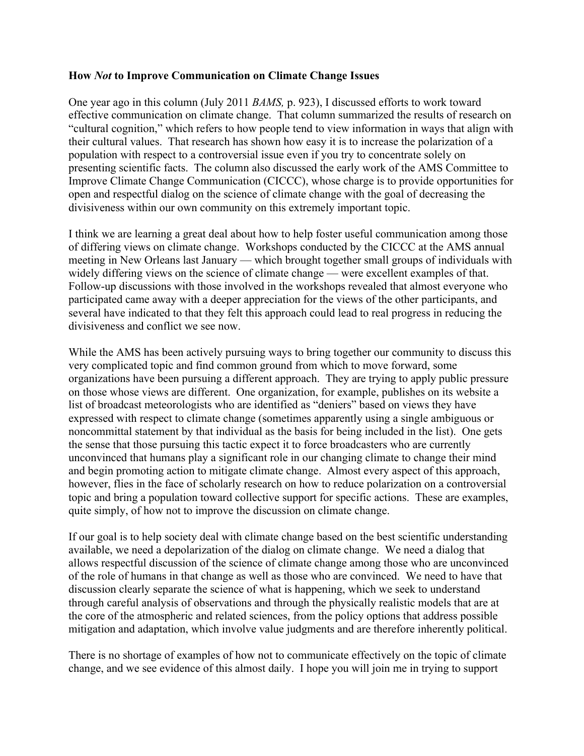## **How** *Not* **to Improve Communication on Climate Change Issues**

One year ago in this column (July 2011 *BAMS,* p. 923), I discussed efforts to work toward effective communication on climate change. That column summarized the results of research on "cultural cognition," which refers to how people tend to view information in ways that align with their cultural values. That research has shown how easy it is to increase the polarization of a population with respect to a controversial issue even if you try to concentrate solely on presenting scientific facts. The column also discussed the early work of the AMS Committee to Improve Climate Change Communication (CICCC), whose charge is to provide opportunities for open and respectful dialog on the science of climate change with the goal of decreasing the divisiveness within our own community on this extremely important topic.

I think we are learning a great deal about how to help foster useful communication among those of differing views on climate change. Workshops conducted by the CICCC at the AMS annual meeting in New Orleans last January — which brought together small groups of individuals with widely differing views on the science of climate change — were excellent examples of that. Follow-up discussions with those involved in the workshops revealed that almost everyone who participated came away with a deeper appreciation for the views of the other participants, and several have indicated to that they felt this approach could lead to real progress in reducing the divisiveness and conflict we see now.

While the AMS has been actively pursuing ways to bring together our community to discuss this very complicated topic and find common ground from which to move forward, some organizations have been pursuing a different approach. They are trying to apply public pressure on those whose views are different. One organization, for example, publishes on its website a list of broadcast meteorologists who are identified as "deniers" based on views they have expressed with respect to climate change (sometimes apparently using a single ambiguous or noncommittal statement by that individual as the basis for being included in the list). One gets the sense that those pursuing this tactic expect it to force broadcasters who are currently unconvinced that humans play a significant role in our changing climate to change their mind and begin promoting action to mitigate climate change. Almost every aspect of this approach, however, flies in the face of scholarly research on how to reduce polarization on a controversial topic and bring a population toward collective support for specific actions. These are examples, quite simply, of how not to improve the discussion on climate change.

If our goal is to help society deal with climate change based on the best scientific understanding available, we need a depolarization of the dialog on climate change. We need a dialog that allows respectful discussion of the science of climate change among those who are unconvinced of the role of humans in that change as well as those who are convinced. We need to have that discussion clearly separate the science of what is happening, which we seek to understand through careful analysis of observations and through the physically realistic models that are at the core of the atmospheric and related sciences, from the policy options that address possible mitigation and adaptation, which involve value judgments and are therefore inherently political.

There is no shortage of examples of how not to communicate effectively on the topic of climate change, and we see evidence of this almost daily. I hope you will join me in trying to support